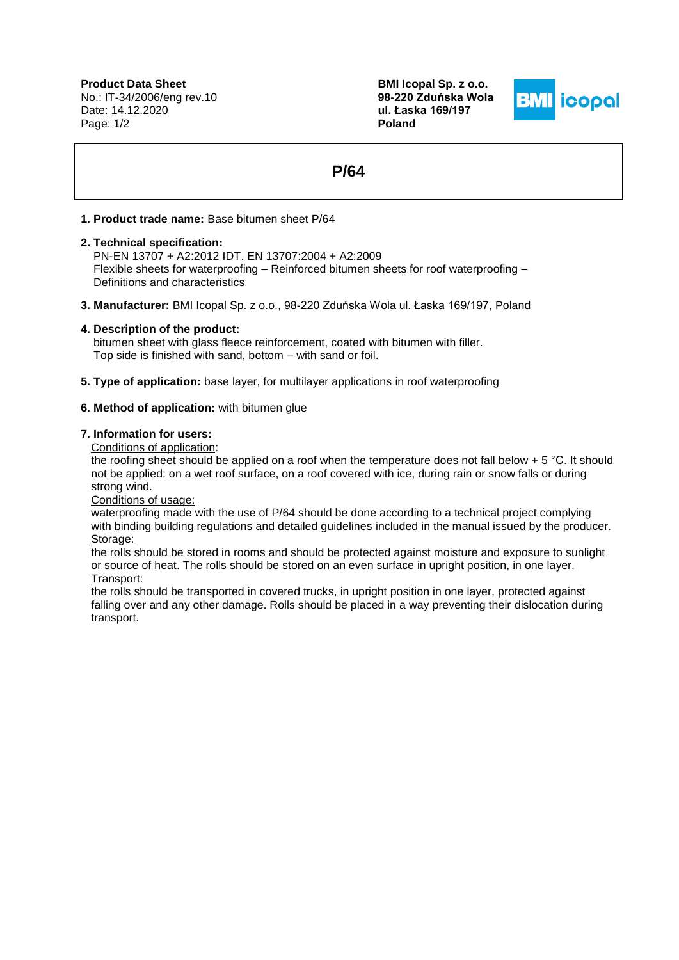**Product Data Sheet** No.: IT-34/2006/eng rev.10 Date: 14.12.2020 Page: 1/2

**BMI Icopal Sp. z o.o. 98-220 Zduńska Wola ul. Łaska 169/197 Poland**



# **P/64**

## **1. Product trade name:** Base bitumen sheet P/64

## **2. Technical specification:**

PN-EN 13707 + A2:2012 IDT. EN 13707:2004 + A2:2009 Flexible sheets for waterproofing – Reinforced bitumen sheets for roof waterproofing – Definitions and characteristics

**3. Manufacturer:** BMI Icopal Sp. z o.o., 98-220 Zduńska Wola ul. Łaska 169/197, Poland

## **4. Description of the product:**

 bitumen sheet with glass fleece reinforcement, coated with bitumen with filler. Top side is finished with sand, bottom – with sand or foil.

**5. Type of application:** base layer, for multilayer applications in roof waterproofing

# **6. Method of application:** with bitumen glue

#### **7. Information for users:**

Conditions of application:

the roofing sheet should be applied on a roof when the temperature does not fall below  $+ 5 \degree C$ . It should not be applied: on a wet roof surface, on a roof covered with ice, during rain or snow falls or during strong wind.

Conditions of usage:

waterproofing made with the use of P/64 should be done according to a technical project complying with binding building regulations and detailed guidelines included in the manual issued by the producer. Storage:

the rolls should be stored in rooms and should be protected against moisture and exposure to sunlight or source of heat. The rolls should be stored on an even surface in upright position, in one layer. Transport:

the rolls should be transported in covered trucks, in upright position in one layer, protected against falling over and any other damage. Rolls should be placed in a way preventing their dislocation during transport.